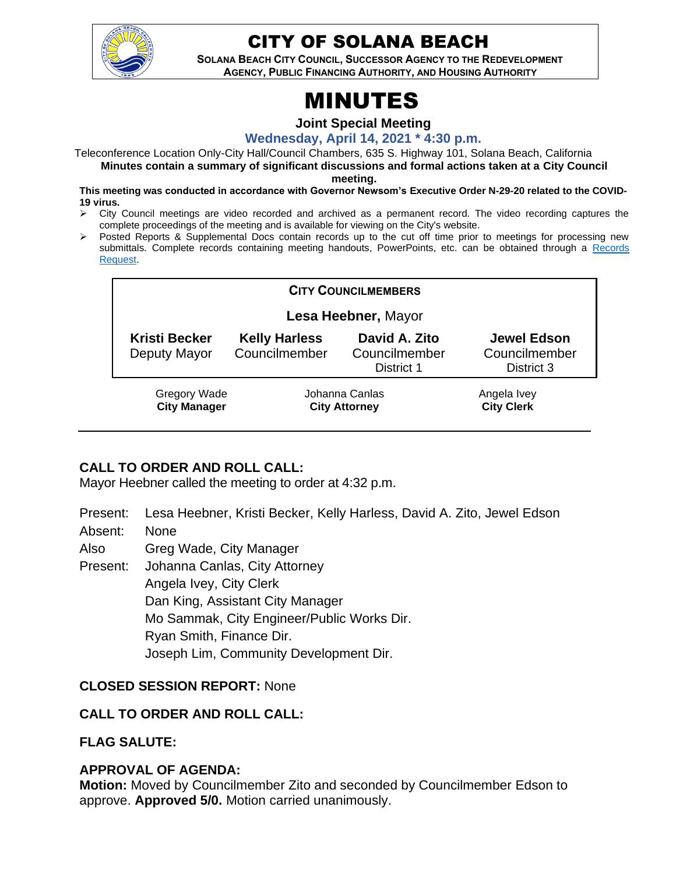

# CITY OF SOLANA BEACH

**SOLANA BEACH CITY COUNCIL, SUCCESSOR AGENCY TO THE REDEVELOPMENT AGENCY, PUBLIC FINANCING AUTHORITY, AND HOUSING AUTHORITY** 

# MINUTES

#### **Joint Special Meeting**

**Wednesday, April 14, 2021 \* 4:30 p.m.**

Teleconference Location Only-City Hall/Council Chambers, 635 S. Highway 101, Solana Beach, California **Minutes contain a summary of significant discussions and formal actions taken at a City Council** 

**meeting.**

- **This meeting was conducted in accordance with Governor Newsom's Executive Order N-29-20 related to the COVID-19 virus.**
- ➢ City Council meetings are video recorded and archived as a permanent record. The video recording captures the complete proceedings of the meeting and is available for viewing on the City's website.
- ➢ Posted Reports & Supplemental Docs contain records up to the cut off time prior to meetings for processing new submittals. Complete records containing meeting handouts, PowerPoints, etc. can be obtained through a [Records](http://www.ci.solana-beach.ca.us/index.asp?SEC=F5D45D10-70CE-4291-A27C-7BD633FC6742&Type=B_BASIC)  [Request.](http://www.ci.solana-beach.ca.us/index.asp?SEC=F5D45D10-70CE-4291-A27C-7BD633FC6742&Type=B_BASIC)

| <b>CITY COUNCILMEMBERS</b>                 |                                        |                                              |                                                   |
|--------------------------------------------|----------------------------------------|----------------------------------------------|---------------------------------------------------|
| Lesa Heebner, Mayor                        |                                        |                                              |                                                   |
| <b>Kristi Becker</b><br>Deputy Mayor       | <b>Kelly Harless</b><br>Councilmember  | David A. Zito<br>Councilmember<br>District 1 | <b>Jewel Edson</b><br>Councilmember<br>District 3 |
| <b>Gregory Wade</b><br><b>City Manager</b> | Johanna Canlas<br><b>City Attorney</b> |                                              | Angela Ivey<br><b>City Clerk</b>                  |

# **CALL TO ORDER AND ROLL CALL:**

Mayor Heebner called the meeting to order at 4:32 p.m.

- Present: Lesa Heebner, Kristi Becker, Kelly Harless, David A. Zito, Jewel Edson
- Absent: None
- Also Greg Wade, City Manager

Present: Johanna Canlas, City Attorney

Angela Ivey, City Clerk

Dan King, Assistant City Manager Mo Sammak, City Engineer/Public Works Dir. Ryan Smith, Finance Dir. Joseph Lim, Community Development Dir.

### **CLOSED SESSION REPORT:** None

### **CALL TO ORDER AND ROLL CALL:**

# **FLAG SALUTE:**

### **APPROVAL OF AGENDA:**

**Motion:** Moved by Councilmember Zito and seconded by Councilmember Edson to approve. **Approved 5/0.** Motion carried unanimously.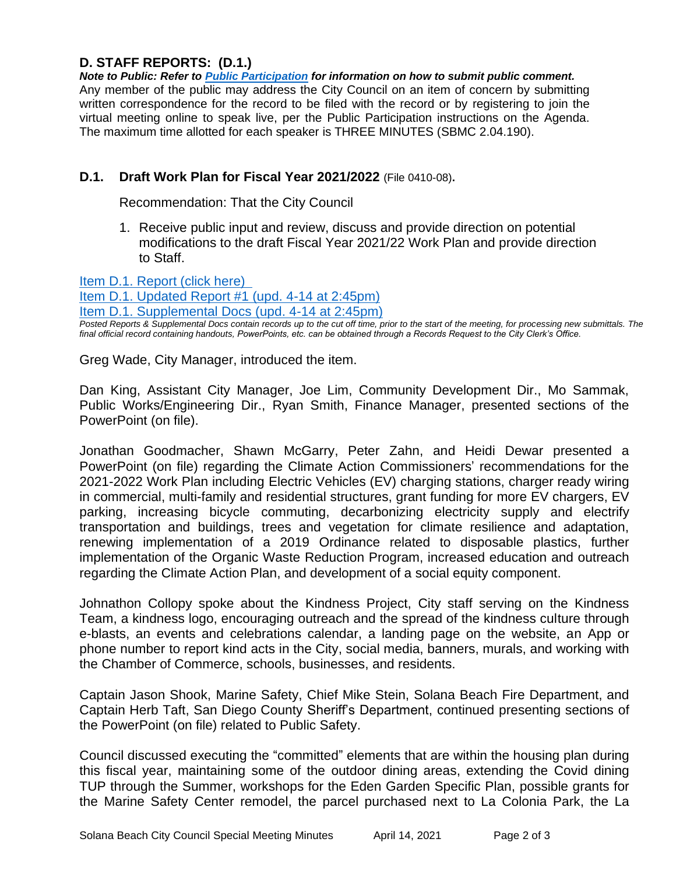# **D. STAFF REPORTS: (D.1.)**

*Note to Public: Refer to Public Participation for information on how to submit public comment.*  Any member of the public may address the City Council on an item of concern by submitting written correspondence for the record to be filed with the record or by registering to join the virtual meeting online to speak live, per the Public Participation instructions on the Agenda. The maximum time allotted for each speaker is THREE MINUTES (SBMC 2.04.190).

#### **D.1. Draft Work Plan for Fiscal Year 2021/2022** (File 0410-08)**.**

Recommendation: That the City Council

1. Receive public input and review, discuss and provide direction on potential modifications to the draft Fiscal Year 2021/22 Work Plan and provide direction to Staff.

[Item D.1. Report \(click here\)](https://solanabeach.govoffice3.com/vertical/Sites/%7B840804C2-F869-4904-9AE3-720581350CE7%7D/uploads/D.1._Report_(click_here)_04-14-21_O.pdf) 

[Item D.1. Updated Report #1 \(upd. 4-14 at 2:45pm\)](https://solanabeach.govoffice3.com/vertical/Sites/%7B840804C2-F869-4904-9AE3-720581350CE7%7D/uploads/Item_D.1._Updated_Report_1_-_4-14_(115pm)_-_O.pdf)

[Item D.1. Supplemental Docs \(upd. 4-14](https://solanabeach.govoffice3.com/vertical/Sites/%7B840804C2-F869-4904-9AE3-720581350CE7%7D/uploads/Item_D.1._Supplemental_Docs_(upd._4-14_at_215pm)_-_O.pdf) at 2:45pm)

*Posted Reports & Supplemental Docs contain records up to the cut off time, prior to the start of the meeting, for processing new submittals. The final official record containing handouts, PowerPoints, etc. can be obtained through a Records Request to the City Clerk's Office.*

Greg Wade, City Manager, introduced the item.

Dan King, Assistant City Manager, Joe Lim, Community Development Dir., Mo Sammak, Public Works/Engineering Dir., Ryan Smith, Finance Manager, presented sections of the PowerPoint (on file).

Jonathan Goodmacher, Shawn McGarry, Peter Zahn, and Heidi Dewar presented a PowerPoint (on file) regarding the Climate Action Commissioners' recommendations for the 2021-2022 Work Plan including Electric Vehicles (EV) charging stations, charger ready wiring in commercial, multi-family and residential structures, grant funding for more EV chargers, EV parking, increasing bicycle commuting, decarbonizing electricity supply and electrify transportation and buildings, trees and vegetation for climate resilience and adaptation, renewing implementation of a 2019 Ordinance related to disposable plastics, further implementation of the Organic Waste Reduction Program, increased education and outreach regarding the Climate Action Plan, and development of a social equity component.

Johnathon Collopy spoke about the Kindness Project, City staff serving on the Kindness Team, a kindness logo, encouraging outreach and the spread of the kindness culture through e-blasts, an events and celebrations calendar, a landing page on the website, an App or phone number to report kind acts in the City, social media, banners, murals, and working with the Chamber of Commerce, schools, businesses, and residents.

Captain Jason Shook, Marine Safety, Chief Mike Stein, Solana Beach Fire Department, and Captain Herb Taft, San Diego County Sheriff's Department, continued presenting sections of the PowerPoint (on file) related to Public Safety.

Council discussed executing the "committed" elements that are within the housing plan during this fiscal year, maintaining some of the outdoor dining areas, extending the Covid dining TUP through the Summer, workshops for the Eden Garden Specific Plan, possible grants for the Marine Safety Center remodel, the parcel purchased next to La Colonia Park, the La